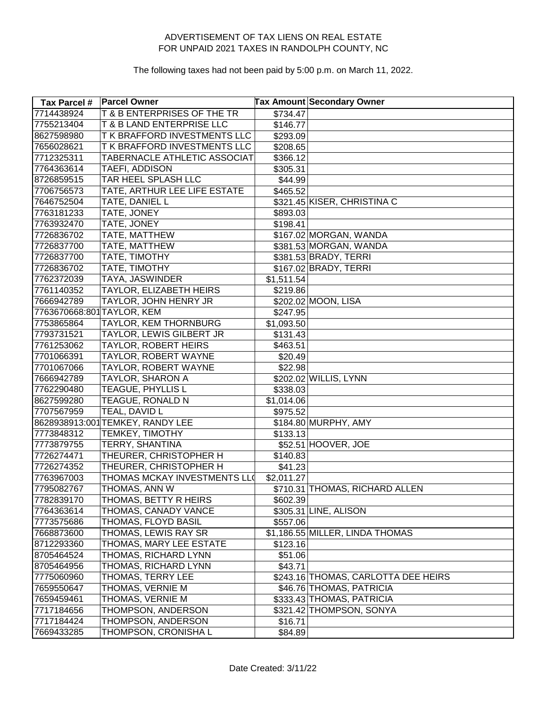| <b>Tax Parcel #</b>        | <b>Parcel Owner</b>              |            | <b>Tax Amount Secondary Owner</b>   |
|----------------------------|----------------------------------|------------|-------------------------------------|
| 7714438924                 | T & B ENTERPRISES OF THE TR      | \$734.47   |                                     |
| 7755213404                 | T & B LAND ENTERPRISE LLC        | \$146.77   |                                     |
| 8627598980                 | T K BRAFFORD INVESTMENTS LLC     | \$293.09   |                                     |
| 7656028621                 | T K BRAFFORD INVESTMENTS LLC     | \$208.65   |                                     |
| 7712325311                 | TABERNACLE ATHLETIC ASSOCIAT     | \$366.12   |                                     |
| 7764363614                 | TAEFI, ADDISON                   | \$305.31   |                                     |
| 8726859515                 | TAR HEEL SPLASH LLC              | \$44.99    |                                     |
| 7706756573                 | TATE, ARTHUR LEE LIFE ESTATE     | \$465.52   |                                     |
| 7646752504                 | TATE, DANIEL L                   |            | \$321.45 KISER, CHRISTINA C         |
| 7763181233                 | TATE, JONEY                      | \$893.03   |                                     |
| 7763932470                 | TATE, JONEY                      | \$198.41   |                                     |
| 7726836702                 | TATE, MATTHEW                    |            | \$167.02 MORGAN, WANDA              |
| 7726837700                 | TATE, MATTHEW                    |            | \$381.53 MORGAN, WANDA              |
| 7726837700                 | TATE, TIMOTHY                    |            | \$381.53 BRADY, TERRI               |
| 7726836702                 | TATE, TIMOTHY                    |            | \$167.02 BRADY, TERRI               |
| 7762372039                 | <b>TAYA, JASWINDER</b>           | \$1,511.54 |                                     |
| 7761140352                 | TAYLOR, ELIZABETH HEIRS          | \$219.86   |                                     |
| 7666942789                 | TAYLOR, JOHN HENRY JR            |            | \$202.02 MOON, LISA                 |
| 7763670668:801 TAYLOR, KEM |                                  | \$247.95   |                                     |
| 7753865864                 | TAYLOR, KEM THORNBURG            | \$1,093.50 |                                     |
| 7793731521                 | TAYLOR, LEWIS GILBERT JR         | \$131.43   |                                     |
| 7761253062                 | <b>TAYLOR, ROBERT HEIRS</b>      | \$463.51   |                                     |
| 7701066391                 | TAYLOR, ROBERT WAYNE             | \$20.49    |                                     |
| 7701067066                 | TAYLOR, ROBERT WAYNE             | \$22.98    |                                     |
| 7666942789                 | TAYLOR, SHARON A                 |            | \$202.02 WILLIS, LYNN               |
| 7762290480                 | TEAGUE, PHYLLIS L                | \$338.03   |                                     |
| 8627599280                 | TEAGUE, RONALD N                 | \$1,014.06 |                                     |
| 7707567959                 | TEAL, DAVID L                    | \$975.52   |                                     |
|                            | 8628938913:001 TEMKEY, RANDY LEE |            | \$184.80 MURPHY, AMY                |
| 7773848312                 | TEMKEY, TIMOTHY                  | \$133.13   |                                     |
| 7773879755                 | TERRY, SHANTINA                  |            | \$52.51 HOOVER, JOE                 |
| 7726274471                 | THEURER, CHRISTOPHER H           | \$140.83   |                                     |
| 7726274352                 | THEURER, CHRISTOPHER H           | \$41.23    |                                     |
| 7763967003                 | THOMAS MCKAY INVESTMENTS LLO     | \$2,011.27 |                                     |
| 7795082767                 | THOMAS, ANN W                    |            | \$710.31 THOMAS, RICHARD ALLEN      |
| 7782839170                 | THOMAS, BETTY R HEIRS            | \$602.39]  |                                     |
| 7764363614                 | THOMAS, CANADY VANCE             |            | \$305.31 LINE, ALISON               |
| 7773575686                 | THOMAS, FLOYD BASIL              | \$557.06   |                                     |
| 7668873600                 | THOMAS, LEWIS RAY SR             |            | \$1,186.55 MILLER, LINDA THOMAS     |
| 8712293360                 | THOMAS, MARY LEE ESTATE          | \$123.16   |                                     |
| 8705464524                 | THOMAS, RICHARD LYNN             | \$51.06    |                                     |
| 8705464956                 | THOMAS, RICHARD LYNN             | \$43.71    |                                     |
| 7775060960                 | THOMAS, TERRY LEE                |            | \$243.16 THOMAS, CARLOTTA DEE HEIRS |
| 7659550647                 | THOMAS, VERNIE M                 |            | \$46.76 THOMAS, PATRICIA            |
| 7659459461                 | THOMAS, VERNIE M                 |            | \$333.43 THOMAS, PATRICIA           |
| 7717184656                 | THOMPSON, ANDERSON               |            | \$321.42 THOMPSON, SONYA            |
| 7717184424                 | THOMPSON, ANDERSON               | \$16.71    |                                     |
| 7669433285                 | THOMPSON, CRONISHA L             | \$84.89    |                                     |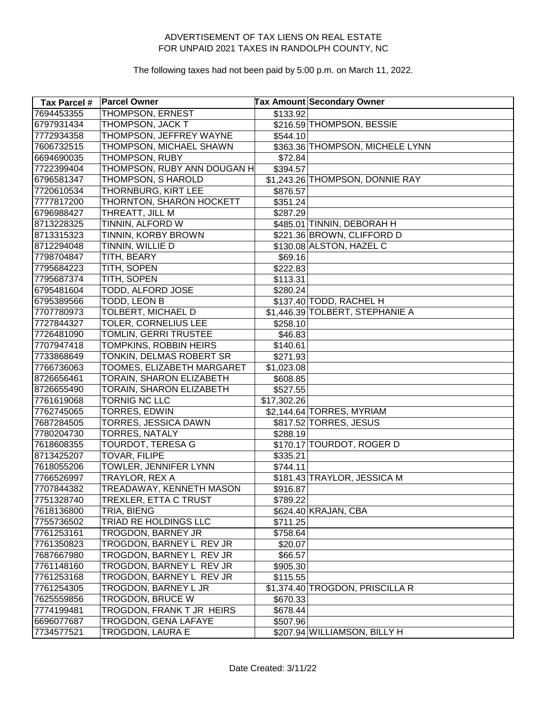| Tax Parcel # | <b>Parcel Owner</b>          |             | <b>Tax Amount Secondary Owner</b> |
|--------------|------------------------------|-------------|-----------------------------------|
| 7694453355   | <b>THOMPSON, ERNEST</b>      | \$133.92    |                                   |
| 6797931434   | THOMPSON, JACK T             |             | \$216.59 THOMPSON, BESSIE         |
| 7772934358   | THOMPSON, JEFFREY WAYNE      | \$544.10    |                                   |
| 7606732515   | THOMPSON, MICHAEL SHAWN      |             | \$363.36 THOMPSON, MICHELE LYNN   |
| 6694690035   | THOMPSON, RUBY               | \$72.84     |                                   |
| 7722399404   | THOMPSON, RUBY ANN DOUGAN H  | \$394.57    |                                   |
| 6796581347   | THOMPSON, S HAROLD           |             | \$1,243.26 THOMPSON, DONNIE RAY   |
| 7720610534   | THORNBURG, KIRT LEE          | \$876.57    |                                   |
| 7777817200   | THORNTON, SHARON HOCKETT     | \$351.24]   |                                   |
| 6796988427   | THREATT, JILL M              | \$287.29    |                                   |
| 8713228325   | TINNIN, ALFORD W             |             | \$485.01 TINNIN, DEBORAH H        |
| 8713315323   | TINNIN, KORBY BROWN          |             | \$221.36 BROWN, CLIFFORD D        |
| 8712294048   | TINNIN, WILLIE D             |             | \$130.08 ALSTON, HAZEL C          |
| 7798704847   | TITH, BEARY                  | \$69.16     |                                   |
| 7795684223   | TITH, SOPEN                  | \$222.83    |                                   |
| 7795687374   | TITH, SOPEN                  | \$113.31    |                                   |
| 6795481604   | TODD, ALFORD JOSE            | \$280.24    |                                   |
| 6795389566   | <b>TODD, LEON B</b>          |             | \$137.40 TODD, RACHEL H           |
| 7707780973   | <b>TOLBERT, MICHAEL D</b>    |             | \$1,446.39 TOLBERT, STEPHANIE A   |
| 7727844327   | <b>TOLER, CORNELIUS LEE</b>  | \$258.10    |                                   |
| 7726481090   | TOMLIN, GERRI TRUSTEE        | \$46.83     |                                   |
| 7707947418   | TOMPKINS, ROBBIN HEIRS       | \$140.61    |                                   |
| 7733868649   | TONKIN, DELMAS ROBERT SR     | \$271.93]   |                                   |
| 7766736063   | TOOMES, ELIZABETH MARGARET   | \$1,023.08  |                                   |
| 8726656461   | TORAIN, SHARON ELIZABETH     | \$608.85    |                                   |
| 8726655490   | TORAIN, SHARON ELIZABETH     | \$527.55    |                                   |
| 7761619068   | TORNIG NC LLC                | \$17,302.26 |                                   |
| 7762745065   | TORRES, EDWIN                |             | \$2,144.64 TORRES, MYRIAM         |
| 7687284505   | TORRES, JESSICA DAWN         |             | \$817.52 TORRES, JESUS            |
| 7780204730   | <b>TORRES, NATALY</b>        | \$288.19    |                                   |
| 7618608355   | TOURDOT, TERESA G            |             | \$170.17 TOURDOT, ROGER D         |
| 8713425207   | <b>TOVAR, FILIPE</b>         | \$335.21    |                                   |
| 7618055206   | TOWLER, JENNIFER LYNN        | \$744.11    |                                   |
| 7766526997   | TRAYLOR, REX A               |             | \$181.43 TRAYLOR, JESSICA M       |
| 7707844382   | TREADAWAY, KENNETH MASON     | \$916.87    |                                   |
| 7751328740   | <b>TREXLER, ETTA C TRUST</b> | \$789.22    |                                   |
| 7618136800   | TRIA, BIENG                  |             | \$624.40 KRAJAN, CBA              |
| 7755736502   | TRIAD RE HOLDINGS LLC        | \$711.25    |                                   |
| 7761253161   | TROGDON, BARNEY JR           | \$758.64    |                                   |
| 7761350823   | TROGDON, BARNEY L REV JR     | \$20.07     |                                   |
| 7687667980   | TROGDON, BARNEY L REV JR     | \$66.57     |                                   |
| 7761148160   | TROGDON, BARNEY L REV JR     | \$905.30    |                                   |
| 7761253168   | TROGDON, BARNEY L REV JR     | \$115.55    |                                   |
| 7761254305   | TROGDON, BARNEY L JR         |             | \$1,374.40 TROGDON, PRISCILLA R   |
| 7625559856   | <b>TROGDON, BRUCE W</b>      | \$670.33]   |                                   |
| 7774199481   | TROGDON, FRANK T JR HEIRS    | \$678.44]   |                                   |
| 6696077687   | TROGDON, GENA LAFAYE         | \$507.96    |                                   |
| 7734577521   | TROGDON, LAURA E             |             | \$207.94 WILLIAMSON, BILLY H      |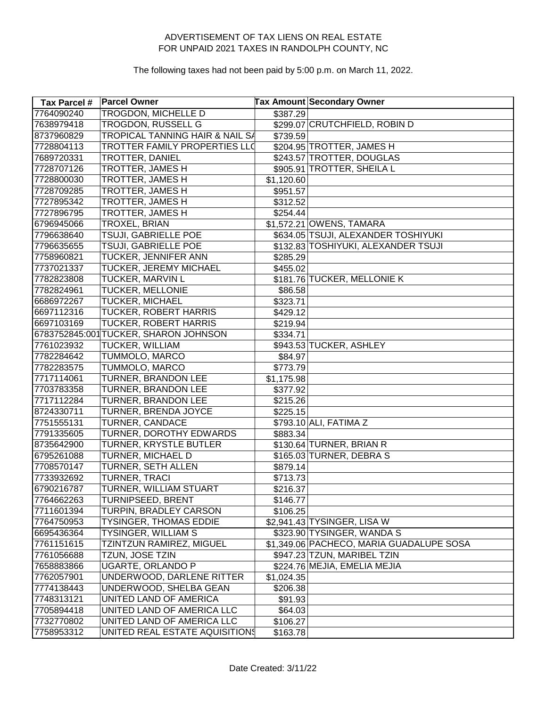| <b>Tax Parcel #</b> | <b>Parcel Owner</b>                        |            | <b>Tax Amount Secondary Owner</b>        |
|---------------------|--------------------------------------------|------------|------------------------------------------|
| 7764090240          | <b>TROGDON, MICHELLE D</b>                 | \$387.29   |                                          |
| 7638979418          | TROGDON, RUSSELL G                         |            | \$299.07 CRUTCHFIELD, ROBIN D            |
| 8737960829          | <b>TROPICAL TANNING HAIR &amp; NAIL SA</b> | \$739.59   |                                          |
| 7728804113          | <b>TROTTER FAMILY PROPERTIES LLO</b>       |            | \$204.95 TROTTER, JAMES H                |
| 7689720331          | <b>TROTTER, DANIEL</b>                     |            | \$243.57 TROTTER, DOUGLAS                |
| 7728707126          | TROTTER, JAMES H                           |            | \$905.91 TROTTER, SHEILA L               |
| 7728800030          | TROTTER, JAMES H                           | \$1,120.60 |                                          |
| 7728709285          | TROTTER, JAMES H                           | \$951.57   |                                          |
| 7727895342          | TROTTER, JAMES H                           | \$312.52   |                                          |
| 7727896795          | TROTTER, JAMES H                           | \$254.44]  |                                          |
| 6796945066          | TROXEL, BRIAN                              |            | \$1,572.21 OWENS, TAMARA                 |
| 7796638640          | TSUJI, GABRIELLE POE                       |            | \$634.05 TSUJI, ALEXANDER TOSHIYUKI      |
| 7796635655          | TSUJI, GABRIELLE POE                       |            | \$132.83 TOSHIYUKI, ALEXANDER TSUJI      |
| 7758960821          | TUCKER, JENNIFER ANN                       | \$285.29   |                                          |
| 7737021337          | TUCKER, JEREMY MICHAEL                     | \$455.02   |                                          |
| 7782823808          | <b>TUCKER, MARVIN L</b>                    |            | \$181.76 TUCKER, MELLONIE K              |
| 7782824961          | TUCKER, MELLONIE                           | \$86.58    |                                          |
| 6686972267          | <b>TUCKER, MICHAEL</b>                     | \$323.71   |                                          |
| 6697112316          | <b>TUCKER, ROBERT HARRIS</b>               | \$429.12   |                                          |
| 6697103169          | <b>TUCKER, ROBERT HARRIS</b>               | \$219.94   |                                          |
|                     | 6783752845:001 TUCKER, SHARON JOHNSON      | \$334.71   |                                          |
| 7761023932          | TUCKER, WILLIAM                            |            | \$943.53 TUCKER, ASHLEY                  |
| 7782284642          | TUMMOLO, MARCO                             | \$84.97    |                                          |
| 7782283575          | TUMMOLO, MARCO                             | \$773.79   |                                          |
| 7717114061          | <b>TURNER, BRANDON LEE</b>                 | \$1,175.98 |                                          |
| 7703783358          | TURNER, BRANDON LEE                        | \$377.92   |                                          |
| 7717112284          | TURNER, BRANDON LEE                        | \$215.26   |                                          |
| 8724330711          | TURNER, BRENDA JOYCE                       | \$225.15   |                                          |
| 7751555131          | TURNER, CANDACE                            |            | \$793.10 ALI, FATIMA Z                   |
| 7791335605          | TURNER, DOROTHY EDWARDS                    | \$883.34   |                                          |
| 8735642900          | TURNER, KRYSTLE BUTLER                     |            | \$130.64 TURNER, BRIAN R                 |
| 6795261088          | TURNER, MICHAEL D                          |            | \$165.03 TURNER, DEBRA S                 |
| 7708570147          | TURNER, SETH ALLEN                         | \$879.14   |                                          |
| 7733932692          | <b>TURNER, TRACI</b>                       | \$713.73   |                                          |
| 6790216787          | TURNER, WILLIAM STUART                     | \$216.37   |                                          |
| 7764662263          | <b>TURNIPSEED, BRENT</b>                   | \$146.77   |                                          |
| 7711601394          | TURPIN, BRADLEY CARSON                     | \$106.25   |                                          |
| 7764750953          | <b>TYSINGER, THOMAS EDDIE</b>              |            | \$2,941.43 TYSINGER, LISA W              |
| 6695436364          | TYSINGER, WILLIAM S                        |            | \$323.90 TYSINGER, WANDA S               |
| 7761151615          | TZINTZUN RAMIREZ, MIGUEL                   |            | \$1,349.06 PACHECO, MARIA GUADALUPE SOSA |
| 7761056688          | TZUN, JOSE TZIN                            |            | \$947.23 TZUN, MARIBEL TZIN              |
| 7658883866          | UGARTE, ORLANDO P                          |            | \$224.76 MEJIA, EMELIA MEJIA             |
| 7762057901          | UNDERWOOD, DARLENE RITTER                  | \$1,024.35 |                                          |
| 7774138443          | UNDERWOOD, SHELBA GEAN                     | \$206.38   |                                          |
| 7748313121          | UNITED LAND OF AMERICA                     | \$91.93    |                                          |
| 7705894418          | UNITED LAND OF AMERICA LLC                 | \$64.03    |                                          |
| 7732770802          | UNITED LAND OF AMERICA LLC                 | \$106.27   |                                          |
| 7758953312          | UNITED REAL ESTATE AQUISITIONS             | \$163.78   |                                          |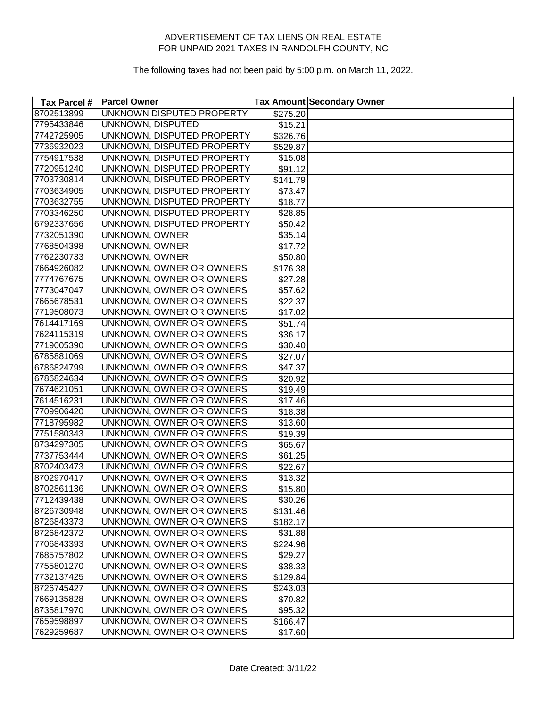| Tax Parcel # | <b>Parcel Owner</b>        | <b>Tax Amount Secondary Owner</b> |
|--------------|----------------------------|-----------------------------------|
| 8702513899   | UNKNOWN DISPUTED PROPERTY  | \$275.20                          |
| 7795433846   | UNKNOWN, DISPUTED          | \$15.21                           |
| 7742725905   | UNKNOWN, DISPUTED PROPERTY | \$326.76                          |
| 7736932023   | UNKNOWN, DISPUTED PROPERTY | \$529.87                          |
| 7754917538   | UNKNOWN, DISPUTED PROPERTY | \$15.08                           |
| 7720951240   | UNKNOWN, DISPUTED PROPERTY | \$91.12                           |
| 7703730814   | UNKNOWN, DISPUTED PROPERTY | \$141.79                          |
| 7703634905   | UNKNOWN, DISPUTED PROPERTY | \$73.47                           |
| 7703632755   | UNKNOWN, DISPUTED PROPERTY | \$18.77                           |
| 7703346250   | UNKNOWN, DISPUTED PROPERTY | \$28.85                           |
| 6792337656   | UNKNOWN, DISPUTED PROPERTY | \$50.42                           |
| 7732051390   | <b>UNKNOWN, OWNER</b>      | \$35.14                           |
| 7768504398   | UNKNOWN, OWNER             | \$17.72                           |
| 7762230733   | UNKNOWN, OWNER             | \$50.80                           |
| 7664926082   | UNKNOWN, OWNER OR OWNERS   | \$176.38                          |
| 7774767675   | UNKNOWN, OWNER OR OWNERS   | \$27.28                           |
| 7773047047   | UNKNOWN, OWNER OR OWNERS   | \$57.62                           |
| 7665678531   | UNKNOWN, OWNER OR OWNERS   | \$22.37                           |
| 7719508073   | UNKNOWN, OWNER OR OWNERS   | \$17.02                           |
| 7614417169   | UNKNOWN, OWNER OR OWNERS   | \$51.74]                          |
| 7624115319   | UNKNOWN, OWNER OR OWNERS   | \$36.17                           |
| 7719005390   | UNKNOWN, OWNER OR OWNERS   | \$30.40                           |
| 6785881069   | UNKNOWN, OWNER OR OWNERS   | \$27.07                           |
| 6786824799   | UNKNOWN, OWNER OR OWNERS   | \$47.37                           |
| 6786824634   | UNKNOWN, OWNER OR OWNERS   | \$20.92                           |
| 7674621051   | UNKNOWN, OWNER OR OWNERS   | \$19.49                           |
| 7614516231   | UNKNOWN, OWNER OR OWNERS   | \$17.46                           |
| 7709906420   | UNKNOWN, OWNER OR OWNERS   | \$18.38                           |
| 7718795982   | UNKNOWN, OWNER OR OWNERS   | \$13.60                           |
| 7751580343   | UNKNOWN, OWNER OR OWNERS   | \$19.39                           |
| 8734297305   | UNKNOWN, OWNER OR OWNERS   | \$65.67                           |
| 7737753444   | UNKNOWN, OWNER OR OWNERS   | \$61.25                           |
| 8702403473   | UNKNOWN, OWNER OR OWNERS   | \$22.67                           |
| 8702970417   | UNKNOWN, OWNER OR OWNERS   | \$13.32                           |
| 8702861136   | UNKNOWN, OWNER OR OWNERS   | \$15.80                           |
| 7712439438   | UNKNOWN, OWNER OR OWNERS   | \$30.26                           |
| 8726730948   | UNKNOWN, OWNER OR OWNERS   | \$131.46                          |
| 8726843373   | UNKNOWN, OWNER OR OWNERS   | \$182.17                          |
| 8726842372   | UNKNOWN, OWNER OR OWNERS   | \$31.88                           |
| 7706843393   | UNKNOWN, OWNER OR OWNERS   | \$224.96                          |
| 7685757802   | UNKNOWN, OWNER OR OWNERS   | \$29.27                           |
| 7755801270   | UNKNOWN, OWNER OR OWNERS   | \$38.33                           |
| 7732137425   | UNKNOWN, OWNER OR OWNERS   | \$129.84                          |
| 8726745427   | UNKNOWN, OWNER OR OWNERS   | \$243.03                          |
| 7669135828   | UNKNOWN, OWNER OR OWNERS   | \$70.82                           |
| 8735817970   | UNKNOWN, OWNER OR OWNERS   | \$95.32                           |
| 7659598897   | UNKNOWN, OWNER OR OWNERS   | \$166.47                          |
| 7629259687   | UNKNOWN, OWNER OR OWNERS   | \$17.60                           |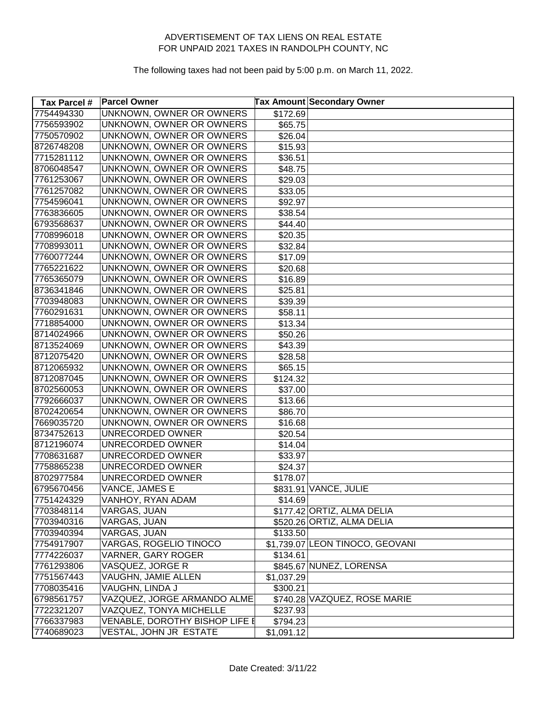| Tax Parcel # | <b>Parcel Owner</b>             |            | <b>Tax Amount Secondary Owner</b> |
|--------------|---------------------------------|------------|-----------------------------------|
| 7754494330   | UNKNOWN, OWNER OR OWNERS        | \$172.69   |                                   |
| 7756593902   | UNKNOWN, OWNER OR OWNERS        | \$65.75    |                                   |
| 7750570902   | UNKNOWN, OWNER OR OWNERS        | \$26.04    |                                   |
| 8726748208   | UNKNOWN, OWNER OR OWNERS        | \$15.93    |                                   |
| 7715281112   | UNKNOWN, OWNER OR OWNERS        | \$36.51    |                                   |
| 8706048547   | UNKNOWN, OWNER OR OWNERS        | \$48.75    |                                   |
| 7761253067   | UNKNOWN, OWNER OR OWNERS        | \$29.03    |                                   |
| 7761257082   | UNKNOWN, OWNER OR OWNERS        | \$33.05    |                                   |
| 7754596041   | UNKNOWN, OWNER OR OWNERS        | \$92.97    |                                   |
| 7763836605   | UNKNOWN, OWNER OR OWNERS        | \$38.54    |                                   |
| 6793568637   | UNKNOWN, OWNER OR OWNERS        | \$44.40    |                                   |
| 7708996018   | UNKNOWN, OWNER OR OWNERS        | \$20.35    |                                   |
| 7708993011   | <b>UNKNOWN, OWNER OR OWNERS</b> | \$32.84    |                                   |
| 7760077244   | UNKNOWN, OWNER OR OWNERS        | \$17.09    |                                   |
| 7765221622   | UNKNOWN, OWNER OR OWNERS        | \$20.68    |                                   |
| 7765365079   | <b>UNKNOWN, OWNER OR OWNERS</b> | \$16.89    |                                   |
| 8736341846   | UNKNOWN, OWNER OR OWNERS        | \$25.81    |                                   |
| 7703948083   | UNKNOWN, OWNER OR OWNERS        | \$39.39    |                                   |
| 7760291631   | UNKNOWN, OWNER OR OWNERS        | \$58.11    |                                   |
| 7718854000   | UNKNOWN, OWNER OR OWNERS        | \$13.34    |                                   |
| 8714024966   | <b>UNKNOWN, OWNER OR OWNERS</b> | \$50.26    |                                   |
| 8713524069   | UNKNOWN, OWNER OR OWNERS        | \$43.39    |                                   |
| 8712075420   | UNKNOWN, OWNER OR OWNERS        | \$28.58    |                                   |
| 8712065932   | UNKNOWN, OWNER OR OWNERS        | \$65.15    |                                   |
| 8712087045   | UNKNOWN, OWNER OR OWNERS        | \$124.32   |                                   |
| 8702560053   | UNKNOWN, OWNER OR OWNERS        | \$37.00    |                                   |
| 7792666037   | UNKNOWN, OWNER OR OWNERS        | \$13.66    |                                   |
| 8702420654   | UNKNOWN, OWNER OR OWNERS        | \$86.70    |                                   |
| 7669035720   | UNKNOWN, OWNER OR OWNERS        | \$16.68    |                                   |
| 8734752613   | UNRECORDED OWNER                | \$20.54    |                                   |
| 8712196074   | UNRECORDED OWNER                | \$14.04    |                                   |
| 7708631687   | UNRECORDED OWNER                | \$33.97    |                                   |
| 7758865238   | UNRECORDED OWNER                | \$24.37    |                                   |
| 8702977584   | UNRECORDED OWNER                | \$178.07   |                                   |
| 6795670456   | VANCE, JAMES E                  |            | \$831.91 VANCE, JULIE             |
| 7751424329   | VANHOY, RYAN ADAM               | \$14.69    |                                   |
| 7703848114   | VARGAS, JUAN                    |            | \$177.42 ORTIZ, ALMA DELIA        |
| 7703940316   | VARGAS, JUAN                    |            | \$520.26 ORTIZ, ALMA DELIA        |
| 7703940394   | VARGAS, JUAN                    | \$133.50   |                                   |
| 7754917907   | VARGAS, ROGELIO TINOCO          |            | \$1,739.07 LEON TINOCO, GEOVANI   |
| 7774226037   | <b>VARNER, GARY ROGER</b>       | \$134.61   |                                   |
| 7761293806   | VASQUEZ, JORGE R                |            | \$845.67 NUNEZ, LORENSA           |
| 7751567443   | VAUGHN, JAMIE ALLEN             | \$1,037.29 |                                   |
| 7708035416   | VAUGHN, LINDA J                 | \$300.21   |                                   |
| 6798561757   | VAZQUEZ, JORGE ARMANDO ALME     |            | \$740.28 VAZQUEZ, ROSE MARIE      |
| 7722321207   | VAZQUEZ, TONYA MICHELLE         | \$237.93   |                                   |
| 7766337983   | VENABLE, DOROTHY BISHOP LIFE E  | \$794.23   |                                   |
| 7740689023   | VESTAL, JOHN JR ESTATE          | \$1,091.12 |                                   |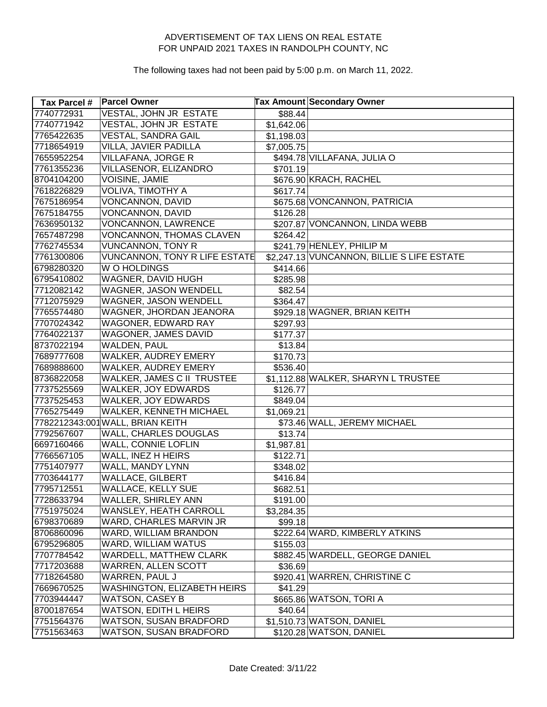| <b>Tax Parcel #</b> | <b>Parcel Owner</b>                  |            | <b>Tax Amount Secondary Owner</b>          |
|---------------------|--------------------------------------|------------|--------------------------------------------|
| 7740772931          | VESTAL, JOHN JR ESTATE               | \$88.44    |                                            |
| 7740771942          | VESTAL, JOHN JR ESTATE               | \$1,642.06 |                                            |
| 7765422635          | VESTAL, SANDRA GAIL                  | \$1,198.03 |                                            |
| 7718654919          | VILLA, JAVIER PADILLA                | \$7,005.75 |                                            |
| 7655952254          | <b>VILLAFANA, JORGE R</b>            |            | \$494.78 VILLAFANA, JULIA O                |
| 7761355236          | VILLASENOR, ELIZANDRO                | \$701.19   |                                            |
| 8704104200          | <b>VOISINE, JAMIE</b>                |            | \$676.90 KRACH, RACHEL                     |
| 7618226829          | VOLIVA, TIMOTHY A                    | \$617.74   |                                            |
| 7675186954          | <b>VONCANNON, DAVID</b>              |            | \$675.68 VONCANNON, PATRICIA               |
| 7675184755          | VONCANNON, DAVID                     | \$126.28   |                                            |
| 7636950132          | <b>VONCANNON, LAWRENCE</b>           |            | \$207.87 VONCANNON, LINDA WEBB             |
| 7657487298          | VONCANNON, THOMAS CLAVEN             | \$264.42   |                                            |
| 7762745534          | <b>VUNCANNON, TONY R</b>             |            | \$241.79 HENLEY, PHILIP M                  |
| 7761300806          | <b>VUNCANNON, TONY R LIFE ESTATE</b> |            | \$2,247.13 VUNCANNON, BILLIE S LIFE ESTATE |
| 6798280320          | W O HOLDINGS                         | \$414.66   |                                            |
| 6795410802          | WAGNER, DAVID HUGH                   | \$285.98   |                                            |
| 7712082142          | WAGNER, JASON WENDELL                | \$82.54    |                                            |
| 7712075929          | WAGNER, JASON WENDELL                | \$364.47   |                                            |
| 7765574480          | WAGNER, JHORDAN JEANORA              |            | \$929.18 WAGNER, BRIAN KEITH               |
| 7707024342          | WAGONER, EDWARD RAY                  | \$297.93   |                                            |
| 7764022137          | WAGONER, JAMES DAVID                 | \$177.37   |                                            |
| 8737022194          | WALDEN, PAUL                         | \$13.84    |                                            |
| 7689777608          | WALKER, AUDREY EMERY                 | \$170.73   |                                            |
| 7689888600          | WALKER, AUDREY EMERY                 | \$536.40   |                                            |
| 8736822058          | WALKER, JAMES C II TRUSTEE           |            | \$1,112.88 WALKER, SHARYN L TRUSTEE        |
| 7737525569          | WALKER, JOY EDWARDS                  | \$126.77   |                                            |
| 7737525453          | WALKER, JOY EDWARDS                  | \$849.04   |                                            |
| 7765275449          | WALKER, KENNETH MICHAEL              | \$1,069.21 |                                            |
|                     | 7782212343:001 WALL, BRIAN KEITH     |            | \$73.46 WALL, JEREMY MICHAEL               |
| 7792567607          | WALL, CHARLES DOUGLAS                | \$13.74    |                                            |
| 6697160466          | WALL, CONNIE LOFLIN                  | \$1,987.81 |                                            |
| 7766567105          | WALL, INEZ H HEIRS                   | \$122.71   |                                            |
| 7751407977          | WALL, MANDY LYNN                     | \$348.02   |                                            |
| 7703644177          | <b>WALLACE, GILBERT</b>              | \$416.84   |                                            |
| 7795712551          | <b>WALLACE, KELLY SUE</b>            | \$682.51   |                                            |
| 7728633794          | WALLER, SHIRLEY ANN                  | \$191.00   |                                            |
| 7751975024          | WANSLEY, HEATH CARROLL               | \$3,284.35 |                                            |
| 6798370689          | WARD, CHARLES MARVIN JR              | \$99.18    |                                            |
| 8706860096          | WARD, WILLIAM BRANDON                |            | \$222.64 WARD, KIMBERLY ATKINS             |
| 6795296805          | WARD, WILLIAM WATUS                  | \$155.03   |                                            |
| 7707784542          | WARDELL, MATTHEW CLARK               |            | \$882.45 WARDELL, GEORGE DANIEL            |
| 7717203688          | <b>WARREN, ALLEN SCOTT</b>           | \$36.69    |                                            |
| 7718264580          | WARREN, PAUL J                       |            | \$920.41 WARREN, CHRISTINE C               |
| 7669670525          | WASHINGTON, ELIZABETH HEIRS          | \$41.29    |                                            |
| 7703944447          | <b>WATSON, CASEY B</b>               |            | \$665.86 WATSON, TORI A                    |
| 8700187654          | <b>WATSON, EDITH L HEIRS</b>         | \$40.64]   |                                            |
| 7751564376          | WATSON, SUSAN BRADFORD               |            | \$1,510.73 WATSON, DANIEL                  |
| 7751563463          | WATSON, SUSAN BRADFORD               |            | \$120.28 WATSON, DANIEL                    |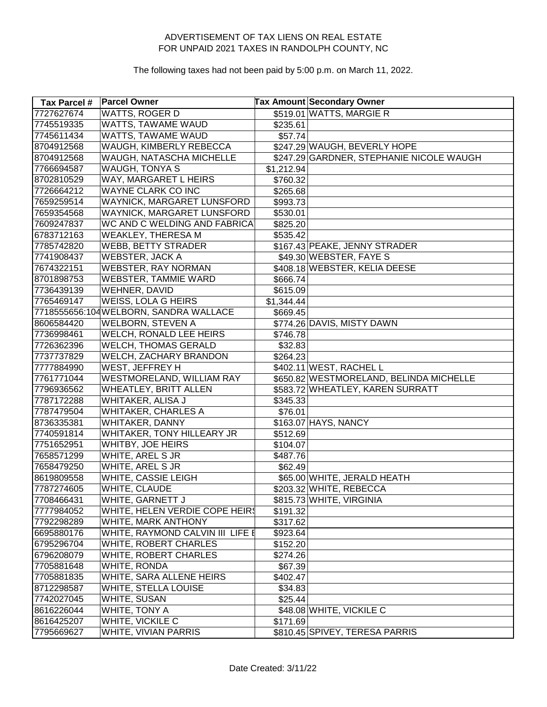| <b>Tax Parcel #</b> | <b>Parcel Owner</b>                    |            | <b>Tax Amount Secondary Owner</b>        |
|---------------------|----------------------------------------|------------|------------------------------------------|
| 7727627674          | <b>WATTS, ROGER D</b>                  |            | \$519.01 WATTS, MARGIE R                 |
| 7745519335          | WATTS, TAWAME WAUD                     | \$235.61   |                                          |
| 7745611434          | WATTS, TAWAME WAUD                     | \$57.74]   |                                          |
| 8704912568          | WAUGH, KIMBERLY REBECCA                |            | \$247.29 WAUGH, BEVERLY HOPE             |
| 8704912568          | WAUGH, NATASCHA MICHELLE               |            | \$247.29 GARDNER, STEPHANIE NICOLE WAUGH |
| 7766694587          | <b>WAUGH, TONYA S</b>                  | \$1,212.94 |                                          |
| 8702810529          | WAY, MARGARET L HEIRS                  | \$760.32   |                                          |
| 7726664212          | WAYNE CLARK CO INC                     | \$265.68   |                                          |
| 7659259514          | WAYNICK, MARGARET LUNSFORD             | \$993.73   |                                          |
| 7659354568          | WAYNICK, MARGARET LUNSFORD             | \$530.01   |                                          |
| 7609247837          | WC AND C WELDING AND FABRICA           | \$825.20   |                                          |
| 6783712163          | <b>WEAKLEY, THERESA M</b>              | \$535.42   |                                          |
| 7785742820          | <b>WEBB, BETTY STRADER</b>             |            | \$167.43 PEAKE, JENNY STRADER            |
| 7741908437          | <b>WEBSTER, JACK A</b>                 |            | \$49.30 WEBSTER, FAYE S                  |
| 7674322151          | <b>WEBSTER, RAY NORMAN</b>             |            | \$408.18 WEBSTER, KELIA DEESE            |
| 8701898753          | <b>WEBSTER, TAMMIE WARD</b>            | \$666.74   |                                          |
| 7736439139          | WEHNER, DAVID                          | \$615.09   |                                          |
| 7765469147          | <b>WEISS, LOLA G HEIRS</b>             | \$1,344.44 |                                          |
|                     | 7718555656:104 WELBORN, SANDRA WALLACE | \$669.45   |                                          |
| 8606584420          | <b>WELBORN, STEVEN A</b>               |            | \$774.26 DAVIS, MISTY DAWN               |
| 7736998461          | <b>WELCH, RONALD LEE HEIRS</b>         | \$746.78   |                                          |
| 7726362396          | <b>WELCH, THOMAS GERALD</b>            | \$32.83    |                                          |
| 7737737829          | WELCH, ZACHARY BRANDON                 | \$264.23   |                                          |
| 7777884990          | WEST, JEFFREY H                        |            | \$402.11 WEST, RACHEL L                  |
| 7761771044          | WESTMORELAND, WILLIAM RAY              |            | \$650.82 WESTMORELAND, BELINDA MICHELLE  |
| 7796936562          | <b>WHEATLEY, BRITT ALLEN</b>           |            | \$583.72 WHEATLEY, KAREN SURRATT         |
| 7787172288          | WHITAKER, ALISA J                      | \$345.33   |                                          |
| 7787479504          | <b>WHITAKER, CHARLES A</b>             | \$76.01    |                                          |
| 8736335381          | WHITAKER, DANNY                        |            | \$163.07 HAYS, NANCY                     |
| 7740591814          | WHITAKER, TONY HILLEARY JR             | \$512.69   |                                          |
| 7751652951          | WHITBY, JOE HEIRS                      | \$104.07   |                                          |
| 7658571299          | WHITE, AREL S JR                       | \$487.76   |                                          |
| 7658479250          | WHITE, AREL S JR                       | \$62.49    |                                          |
| 8619809558          | <b>WHITE, CASSIE LEIGH</b>             |            | \$65.00 WHITE, JERALD HEATH              |
| 7787274605          | WHITE, CLAUDE                          |            | \$203.32 WHITE, REBECCA                  |
| 7708466431          | WHITE, GARNETT J                       |            | \$815.73 WHITE, VIRGINIA                 |
| 7777984052          | WHITE, HELEN VERDIE COPE HEIRS         | \$191.32   |                                          |
| 7792298289          | WHITE, MARK ANTHONY                    | \$317.62   |                                          |
| 6695880176          | WHITE, RAYMOND CALVIN III LIFE E       | \$923.64   |                                          |
| 6795296704          | WHITE, ROBERT CHARLES                  | \$152.20   |                                          |
| 6796208079          | WHITE, ROBERT CHARLES                  | \$274.26   |                                          |
| 7705881648          | WHITE, RONDA                           | \$67.39    |                                          |
| 7705881835          | WHITE, SARA ALLENE HEIRS               | \$402.47   |                                          |
| 8712298587          | WHITE, STELLA LOUISE                   | \$34.83    |                                          |
| 7742027045          | WHITE, SUSAN                           | \$25.44]   |                                          |
| 8616226044          | WHITE, TONY A                          |            | \$48.08 WHITE, VICKILE C                 |
| 8616425207          | WHITE, VICKILE C                       | \$171.69   |                                          |
| 7795669627          | WHITE, VIVIAN PARRIS                   |            | \$810.45 SPIVEY, TERESA PARRIS           |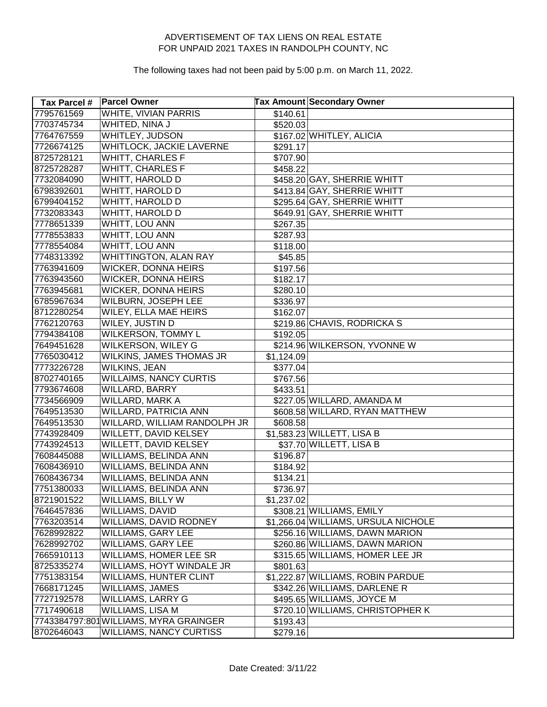| Tax Parcel # | <b>Parcel Owner</b>                    |                      | Tax Amount Secondary Owner          |
|--------------|----------------------------------------|----------------------|-------------------------------------|
| 7795761569   | <b>WHITE, VIVIAN PARRIS</b>            | $\overline{$}140.61$ |                                     |
| 7703745734   | WHITED, NINA J                         | \$520.03             |                                     |
| 7764767559   | WHITLEY, JUDSON                        |                      | \$167.02 WHITLEY, ALICIA            |
| 7726674125   | WHITLOCK, JACKIE LAVERNE               | \$291.17             |                                     |
| 8725728121   | <b>WHITT, CHARLES F</b>                | \$707.90             |                                     |
| 8725728287   | <b>WHITT, CHARLES F</b>                | \$458.22             |                                     |
| 7732084090   | WHITT, HAROLD D                        |                      | \$458.20 GAY, SHERRIE WHITT         |
| 6798392601   | WHITT, HAROLD D                        |                      | \$413.84 GAY, SHERRIE WHITT         |
| 6799404152   | WHITT, HAROLD D                        |                      | \$295.64 GAY, SHERRIE WHITT         |
| 7732083343   | WHITT, HAROLD D                        |                      | \$649.91 GAY, SHERRIE WHITT         |
| 7778651339   | WHITT, LOU ANN                         | \$267.35             |                                     |
| 7778553833   | WHITT, LOU ANN                         | \$287.93             |                                     |
| 7778554084   | <b>WHITT, LOU ANN</b>                  | \$118.00             |                                     |
| 7748313392   | WHITTINGTON, ALAN RAY                  | \$45.85              |                                     |
| 7763941609   | WICKER, DONNA HEIRS                    | \$197.56             |                                     |
| 7763943560   | <b>WICKER, DONNA HEIRS</b>             | \$182.17             |                                     |
| 7763945681   | WICKER, DONNA HEIRS                    | \$280.10             |                                     |
| 6785967634   | <b>WILBURN, JOSEPH LEE</b>             | \$336.97             |                                     |
| 8712280254   | <b>WILEY, ELLA MAE HEIRS</b>           | \$162.07             |                                     |
| 7762120763   | WILEY, JUSTIN D                        |                      | \$219.86 CHAVIS, RODRICKA S         |
| 7794384108   | WILKERSON, TOMMY L                     | \$192.05             |                                     |
| 7649451628   | WILKERSON, WILEY G                     |                      | \$214.96 WILKERSON, YVONNE W        |
| 7765030412   | WILKINS, JAMES THOMAS JR               | \$1,124.09           |                                     |
| 7773226728   | WILKINS, JEAN                          | \$377.04             |                                     |
| 8702740165   | <b>WILLAIMS, NANCY CURTIS</b>          | \$767.56             |                                     |
| 7793674608   | WILLARD, BARRY                         | \$433.51             |                                     |
| 7734566909   | WILLARD, MARK A                        |                      | \$227.05 WILLARD, AMANDA M          |
| 7649513530   | WILLARD, PATRICIA ANN                  |                      | \$608.58 WILLARD, RYAN MATTHEW      |
| 7649513530   | WILLARD, WILLIAM RANDOLPH JR           | \$608.58]            |                                     |
| 7743928409   | WILLETT, DAVID KELSEY                  |                      | \$1,583.23 WILLETT, LISA B          |
| 7743924513   | WILLETT, DAVID KELSEY                  |                      | \$37.70 WILLETT, LISA B             |
| 7608445088   | WILLIAMS, BELINDA ANN                  | \$196.87             |                                     |
| 7608436910   | WILLIAMS, BELINDA ANN                  | \$184.92             |                                     |
| 7608436734   | WILLIAMS, BELINDA ANN                  | \$134.21             |                                     |
| 7751380033   | WILLIAMS, BELINDA ANN                  | \$736.97             |                                     |
| 8721901522   | WILLIAMS, BILLY W                      | \$1,237.02           |                                     |
| 7646457836   | WILLIAMS, DAVID                        |                      | \$308.21 WILLIAMS, EMILY            |
| 7763203514   | WILLIAMS, DAVID RODNEY                 |                      | \$1,266.04 WILLIAMS, URSULA NICHOLE |
| 7628992822   | WILLIAMS, GARY LEE                     |                      | \$256.16 WILLIAMS, DAWN MARION      |
| 7628992702   | <b>WILLIAMS, GARY LEE</b>              |                      | \$260.86 WILLIAMS, DAWN MARION      |
| 7665910113   | WILLIAMS, HOMER LEE SR                 |                      | \$315.65 WILLIAMS, HOMER LEE JR     |
| 8725335274   | WILLIAMS, HOYT WINDALE JR              | \$801.63]            |                                     |
| 7751383154   | <b>WILLIAMS, HUNTER CLINT</b>          |                      | \$1,222.87 WILLIAMS, ROBIN PARDUE   |
| 7668171245   | <b>WILLIAMS, JAMES</b>                 |                      | \$342.26 WILLIAMS, DARLENE R        |
| 7727192578   | WILLIAMS, LARRY G                      |                      | \$495.65 WILLIAMS, JOYCE M          |
| 7717490618   | WILLIAMS, LISA M                       |                      | \$720.10 WILLIAMS, CHRISTOPHER K    |
|              | 7743384797:801 WILLIAMS, MYRA GRAINGER | \$193.43             |                                     |
| 8702646043   | <b>WILLIAMS, NANCY CURTISS</b>         | \$279.16             |                                     |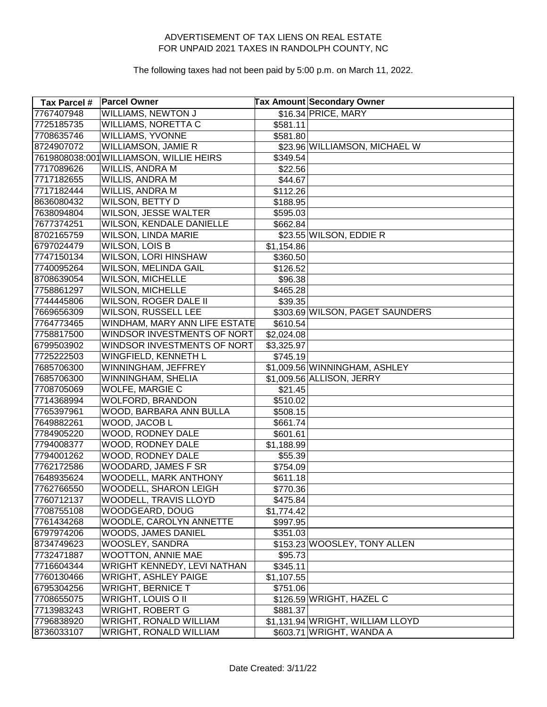| Tax Parcel # | <b>Parcel Owner</b>                     |            | <b>Tax Amount Secondary Owner</b> |
|--------------|-----------------------------------------|------------|-----------------------------------|
| 7767407948   | <b>WILLIAMS, NEWTON J</b>               |            | \$16.34 PRICE, MARY               |
| 7725185735   | <b>WILLIAMS, NORETTA C</b>              | \$581.11   |                                   |
| 7708635746   | <b>WILLIAMS, YVONNE</b>                 | \$581.80   |                                   |
| 8724907072   | <b>WILLIAMSON, JAMIE R</b>              |            | \$23.96 WILLIAMSON, MICHAEL W     |
|              | 7619808038:001 WILLIAMSON, WILLIE HEIRS | \$349.54]  |                                   |
| 7717089626   | WILLIS, ANDRA M                         | \$22.56    |                                   |
| 7717182655   | WILLIS, ANDRA M                         | \$44.67    |                                   |
| 7717182444   | WILLIS, ANDRA M                         | \$112.26   |                                   |
| 8636080432   | WILSON, BETTY D                         | \$188.95   |                                   |
| 7638094804   | WILSON, JESSE WALTER                    | \$595.03   |                                   |
| 7677374251   | WILSON, KENDALE DANIELLE                | \$662.84]  |                                   |
| 8702165759   | WILSON, LINDA MARIE                     |            | \$23.55 WILSON, EDDIE R           |
| 6797024479   | <b>WILSON, LOIS B</b>                   | \$1,154.86 |                                   |
| 7747150134   | <b>WILSON, LORI HINSHAW</b>             | \$360.50   |                                   |
| 7740095264   | WILSON, MELINDA GAIL                    | \$126.52   |                                   |
| 8708639054   | <b>WILSON, MICHELLE</b>                 | \$96.38    |                                   |
| 7758861297   | <b>WILSON, MICHELLE</b>                 | \$465.28   |                                   |
| 7744445806   | WILSON, ROGER DALE II                   | \$39.35    |                                   |
| 7669656309   | WILSON, RUSSELL LEE                     |            | \$303.69 WILSON, PAGET SAUNDERS   |
| 7764773465   | WINDHAM, MARY ANN LIFE ESTATE           | \$610.54]  |                                   |
| 7758817500   | WINDSOR INVESTMENTS OF NORT             | \$2,024.08 |                                   |
| 6799503902   | WINDSOR INVESTMENTS OF NORT             | \$3,325.97 |                                   |
| 7725222503   | WINGFIELD, KENNETH L                    | \$745.19   |                                   |
| 7685706300   | WINNINGHAM, JEFFREY                     |            | \$1,009.56 WINNINGHAM, ASHLEY     |
| 7685706300   | WINNINGHAM, SHELIA                      |            | \$1,009.56 ALLISON, JERRY         |
| 7708705069   | <b>WOLFE, MARGIE C</b>                  | \$21.45    |                                   |
| 7714368994   | <b>WOLFORD, BRANDON</b>                 | \$510.02   |                                   |
| 7765397961   | WOOD, BARBARA ANN BULLA                 | \$508.15   |                                   |
| 7649882261   | WOOD, JACOB L                           | \$661.74   |                                   |
| 7784905220   | WOOD, RODNEY DALE                       | \$601.61   |                                   |
| 7794008377   | WOOD, RODNEY DALE                       | \$1,188.99 |                                   |
| 7794001262   | WOOD, RODNEY DALE                       | \$55.39    |                                   |
| 7762172586   | WOODARD, JAMES F SR                     | \$754.09   |                                   |
| 7648935624   | <b>WOODELL, MARK ANTHONY</b>            | \$611.18   |                                   |
| 7762766550   | WOODELL, SHARON LEIGH                   | \$770.36   |                                   |
| 7760712137   | WOODELL, TRAVIS LLOYD                   | \$475.84]  |                                   |
| 7708755108   | WOODGEARD, DOUG                         | \$1,774.42 |                                   |
| 7761434268   | WOODLE, CAROLYN ANNETTE                 | \$997.95   |                                   |
| 6797974206   | <b>WOODS, JAMES DANIEL</b>              | \$351.03   |                                   |
| 8734749623   | WOOSLEY, SANDRA                         |            | \$153.23 WOOSLEY, TONY ALLEN      |
| 7732471887   | <b>WOOTTON, ANNIE MAE</b>               | \$95.73    |                                   |
| 7716604344   | WRIGHT KENNEDY, LEVI NATHAN             | \$345.11   |                                   |
| 7760130466   | <b>WRIGHT, ASHLEY PAIGE</b>             | \$1,107.55 |                                   |
| 6795304256   | <b>WRIGHT, BERNICE T</b>                | \$751.06   |                                   |
| 7708655075   | <b>WRIGHT, LOUIS O II</b>               |            | \$126.59 WRIGHT, HAZEL C          |
| 7713983243   | <b>WRIGHT, ROBERT G</b>                 | \$881.37   |                                   |
| 7796838920   | <b>WRIGHT, RONALD WILLIAM</b>           |            | \$1,131.94 WRIGHT, WILLIAM LLOYD  |
| 8736033107   | <b>WRIGHT, RONALD WILLIAM</b>           |            | \$603.71 WRIGHT, WANDA A          |